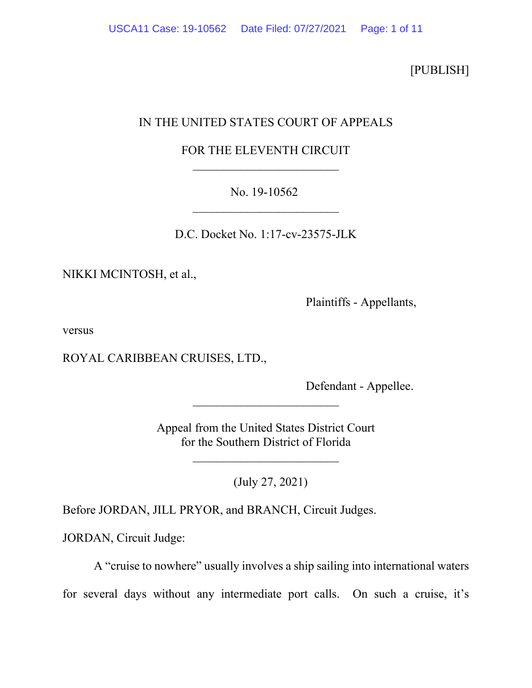[PUBLISH]

## IN THE UNITED STATES COURT OF APPEALS

# FOR THE ELEVENTH CIRCUIT  $\overline{\phantom{a}}$

# No. 19-10562  $\overline{\phantom{a}}$

D.C. Docket No. 1:17-cv-23575-JLK

NIKKI MCINTOSH, et al.,

Plaintiffs - Appellants,

versus

ROYAL CARIBBEAN CRUISES, LTD.,

Defendant - Appellee.

Appeal from the United States District Court for the Southern District of Florida

 $\overline{\phantom{a}}$ 

\_\_\_\_\_\_\_\_\_\_\_\_\_\_\_\_\_\_\_\_\_\_\_\_

(July 27, 2021)

Before JORDAN, JILL PRYOR, and BRANCH, Circuit Judges.

JORDAN, Circuit Judge:

A "cruise to nowhere" usually involves a ship sailing into international waters for several days without any intermediate port calls. On such a cruise, it's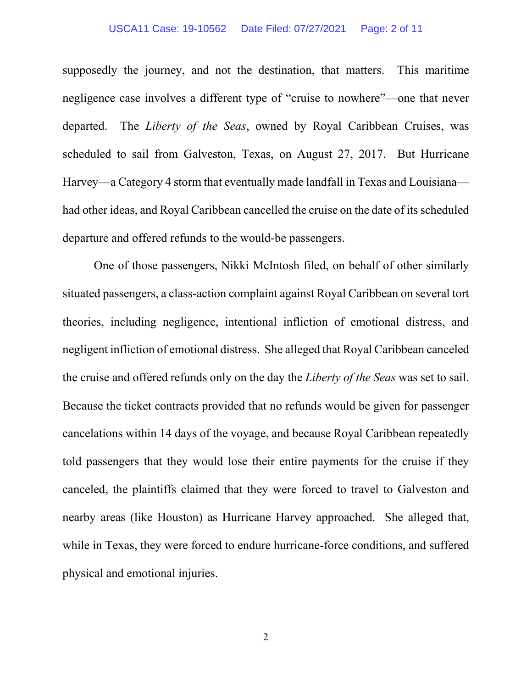### USCA11 Case: 19-10562 Date Filed: 07/27/2021 Page: 2 of 11

supposedly the journey, and not the destination, that matters. This maritime negligence case involves a different type of "cruise to nowhere"—one that never departed. The *Liberty of the Seas*, owned by Royal Caribbean Cruises, was scheduled to sail from Galveston, Texas, on August 27, 2017. But Hurricane Harvey—a Category 4 storm that eventually made landfall in Texas and Louisiana had other ideas, and Royal Caribbean cancelled the cruise on the date of its scheduled departure and offered refunds to the would-be passengers.

One of those passengers, Nikki McIntosh filed, on behalf of other similarly situated passengers, a class-action complaint against Royal Caribbean on several tort theories, including negligence, intentional infliction of emotional distress, and negligent infliction of emotional distress. She alleged that Royal Caribbean canceled the cruise and offered refunds only on the day the *Liberty of the Seas* was set to sail. Because the ticket contracts provided that no refunds would be given for passenger cancelations within 14 days of the voyage, and because Royal Caribbean repeatedly told passengers that they would lose their entire payments for the cruise if they canceled, the plaintiffs claimed that they were forced to travel to Galveston and nearby areas (like Houston) as Hurricane Harvey approached. She alleged that, while in Texas, they were forced to endure hurricane-force conditions, and suffered physical and emotional injuries.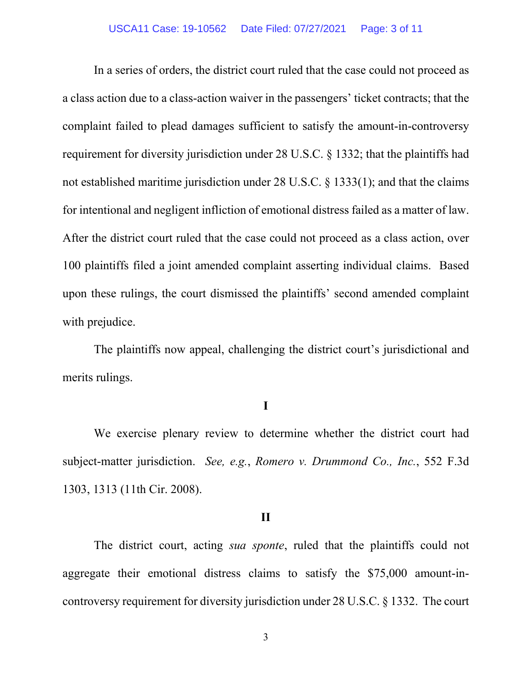In a series of orders, the district court ruled that the case could not proceed as a class action due to a class-action waiver in the passengers' ticket contracts; that the complaint failed to plead damages sufficient to satisfy the amount-in-controversy requirement for diversity jurisdiction under 28 U.S.C. § 1332; that the plaintiffs had not established maritime jurisdiction under 28 U.S.C. § 1333(1); and that the claims for intentional and negligent infliction of emotional distress failed as a matter of law. After the district court ruled that the case could not proceed as a class action, over 100 plaintiffs filed a joint amended complaint asserting individual claims. Based upon these rulings, the court dismissed the plaintiffs' second amended complaint with prejudice.

The plaintiffs now appeal, challenging the district court's jurisdictional and merits rulings.

## **I**

We exercise plenary review to determine whether the district court had subject-matter jurisdiction. *See, e.g.*, *Romero v. Drummond Co., Inc.*, 552 F.3d 1303, 1313 (11th Cir. 2008).

### **II**

The district court, acting *sua sponte*, ruled that the plaintiffs could not aggregate their emotional distress claims to satisfy the \$75,000 amount-incontroversy requirement for diversity jurisdiction under 28 U.S.C. § 1332. The court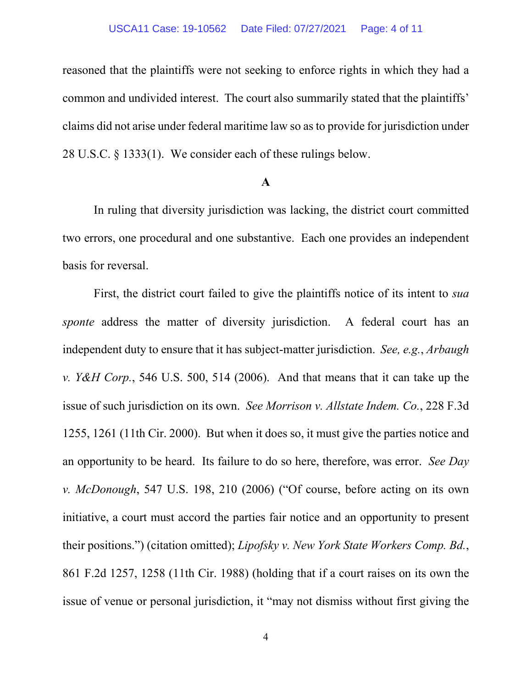#### USCA11 Case: 19-10562 Date Filed: 07/27/2021 Page: 4 of 11

reasoned that the plaintiffs were not seeking to enforce rights in which they had a common and undivided interest. The court also summarily stated that the plaintiffs' claims did not arise under federal maritime law so as to provide for jurisdiction under 28 U.S.C. § 1333(1). We consider each of these rulings below.

### **A**

In ruling that diversity jurisdiction was lacking, the district court committed two errors, one procedural and one substantive. Each one provides an independent basis for reversal.

First, the district court failed to give the plaintiffs notice of its intent to *sua sponte* address the matter of diversity jurisdiction. A federal court has an independent duty to ensure that it has subject-matter jurisdiction. *See, e.g.*, *Arbaugh v. Y&H Corp.*, 546 U.S. 500, 514 (2006). And that means that it can take up the issue of such jurisdiction on its own. *See Morrison v. Allstate Indem. Co.*, 228 F.3d 1255, 1261 (11th Cir. 2000). But when it does so, it must give the parties notice and an opportunity to be heard. Its failure to do so here, therefore, was error. *See Day v. McDonough*, 547 U.S. 198, 210 (2006) ("Of course, before acting on its own initiative, a court must accord the parties fair notice and an opportunity to present their positions.") (citation omitted); *Lipofsky v. New York State Workers Comp. Bd.*, 861 F.2d 1257, 1258 (11th Cir. 1988) (holding that if a court raises on its own the issue of venue or personal jurisdiction, it "may not dismiss without first giving the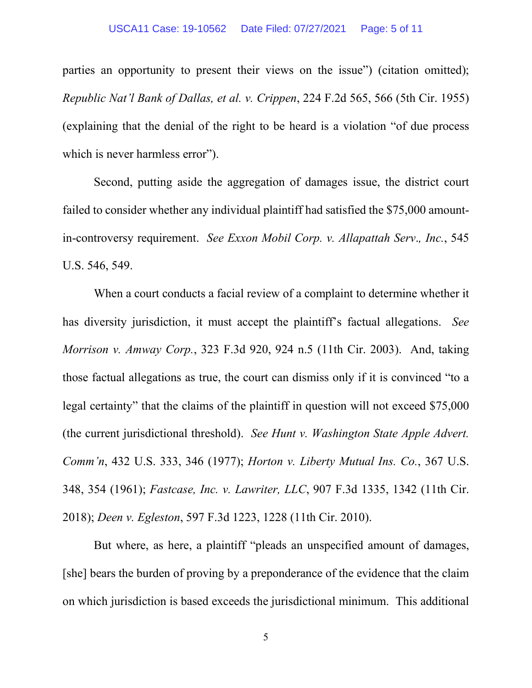parties an opportunity to present their views on the issue") (citation omitted); *Republic Nat'l Bank of Dallas, et al. v. Crippen*, 224 F.2d 565, 566 (5th Cir. 1955) (explaining that the denial of the right to be heard is a violation "of due process which is never harmless error".

Second, putting aside the aggregation of damages issue, the district court failed to consider whether any individual plaintiff had satisfied the \$75,000 amountin-controversy requirement. *See Exxon Mobil Corp. v. Allapattah Serv*.*, Inc.*, 545 U.S. 546, 549.

When a court conducts a facial review of a complaint to determine whether it has diversity jurisdiction, it must accept the plaintiff's factual allegations. *See Morrison v. Amway Corp.*, 323 F.3d 920, 924 n.5 (11th Cir. 2003). And, taking those factual allegations as true, the court can dismiss only if it is convinced "to a legal certainty" that the claims of the plaintiff in question will not exceed \$75,000 (the current jurisdictional threshold). *See Hunt v. Washington State Apple Advert. Comm'n*, 432 U.S. 333, 346 (1977); *Horton v. Liberty Mutual Ins. Co.*, 367 U.S. 348, 354 (1961); *Fastcase, Inc. v. Lawriter, LLC*, 907 F.3d 1335, 1342 (11th Cir. 2018); *Deen v. Egleston*, 597 F.3d 1223, 1228 (11th Cir. 2010).

But where, as here, a plaintiff "pleads an unspecified amount of damages, [she] bears the burden of proving by a preponderance of the evidence that the claim on which jurisdiction is based exceeds the jurisdictional minimum. This additional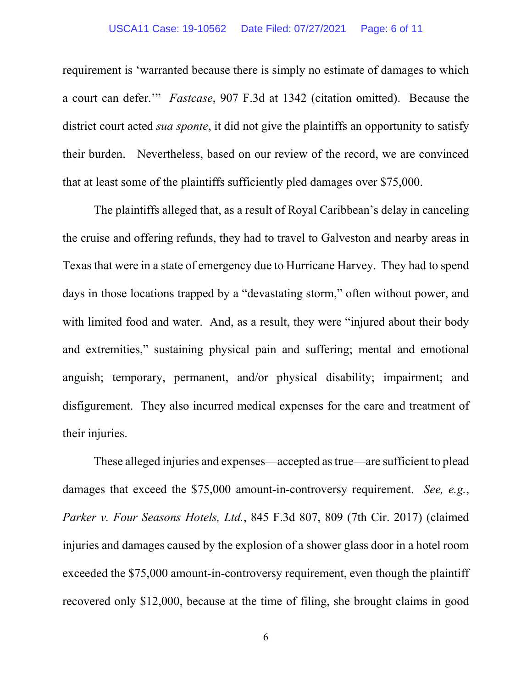### USCA11 Case: 19-10562 Date Filed: 07/27/2021 Page: 6 of 11

requirement is 'warranted because there is simply no estimate of damages to which a court can defer.'" *Fastcase*, 907 F.3d at 1342 (citation omitted). Because the district court acted *sua sponte*, it did not give the plaintiffs an opportunity to satisfy their burden. Nevertheless, based on our review of the record, we are convinced that at least some of the plaintiffs sufficiently pled damages over \$75,000.

The plaintiffs alleged that, as a result of Royal Caribbean's delay in canceling the cruise and offering refunds, they had to travel to Galveston and nearby areas in Texas that were in a state of emergency due to Hurricane Harvey. They had to spend days in those locations trapped by a "devastating storm," often without power, and with limited food and water. And, as a result, they were "injured about their body and extremities," sustaining physical pain and suffering; mental and emotional anguish; temporary, permanent, and/or physical disability; impairment; and disfigurement. They also incurred medical expenses for the care and treatment of their injuries.

These alleged injuries and expenses—accepted as true—are sufficient to plead damages that exceed the \$75,000 amount-in-controversy requirement. *See, e.g.*, *Parker v. Four Seasons Hotels, Ltd.*, 845 F.3d 807, 809 (7th Cir. 2017) (claimed injuries and damages caused by the explosion of a shower glass door in a hotel room exceeded the \$75,000 amount-in-controversy requirement, even though the plaintiff recovered only \$12,000, because at the time of filing, she brought claims in good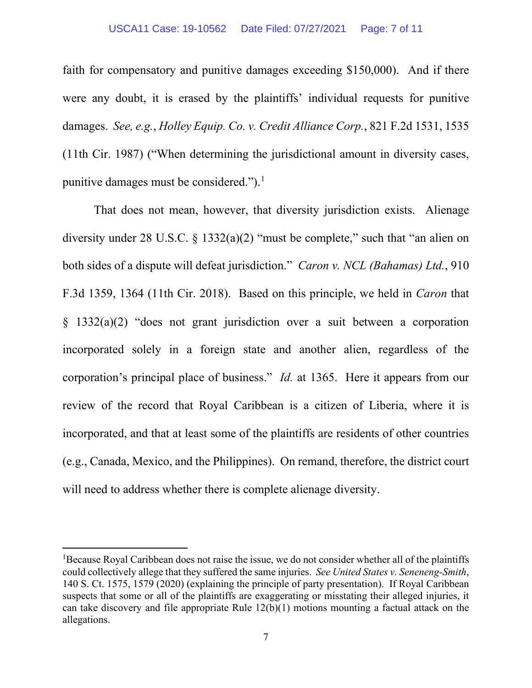### USCA11 Case: 19-10562 Date Filed: 07/27/2021 Page: 7 of 11

faith for compensatory and punitive damages exceeding \$150,000). And if there were any doubt, it is erased by the plaintiffs' individual requests for punitive damages. *See, e.g.*, *Holley Equip. Co. v. Credit Alliance Corp.*, 821 F.2d 1531, 1535 (11th Cir. 1987) ("When determining the jurisdictional amount in diversity cases, punitive damages must be considered.").<sup>[1](#page-6-0)</sup>

That does not mean, however, that diversity jurisdiction exists. Alienage diversity under 28 U.S.C. § 1332(a)(2) "must be complete," such that "an alien on both sides of a dispute will defeat jurisdiction." *Caron v. NCL (Bahamas) Ltd.*, 910 F.3d 1359, 1364 (11th Cir. 2018). Based on this principle, we held in *Caron* that § 1332(a)(2) "does not grant jurisdiction over a suit between a corporation incorporated solely in a foreign state and another alien, regardless of the corporation's principal place of business." *Id.* at 1365. Here it appears from our review of the record that Royal Caribbean is a citizen of Liberia, where it is incorporated, and that at least some of the plaintiffs are residents of other countries (e.g., Canada, Mexico, and the Philippines). On remand, therefore, the district court will need to address whether there is complete alienage diversity.

<span id="page-6-0"></span><sup>&</sup>lt;sup>1</sup>Because Royal Caribbean does not raise the issue, we do not consider whether all of the plaintiffs could collectively allege that they suffered the same injuries. *See United States v. Seneneng-Smith*, 140 S. Ct. 1575, 1579 (2020) (explaining the principle of party presentation). If Royal Caribbean suspects that some or all of the plaintiffs are exaggerating or misstating their alleged injuries, it can take discovery and file appropriate Rule 12(b)(1) motions mounting a factual attack on the allegations.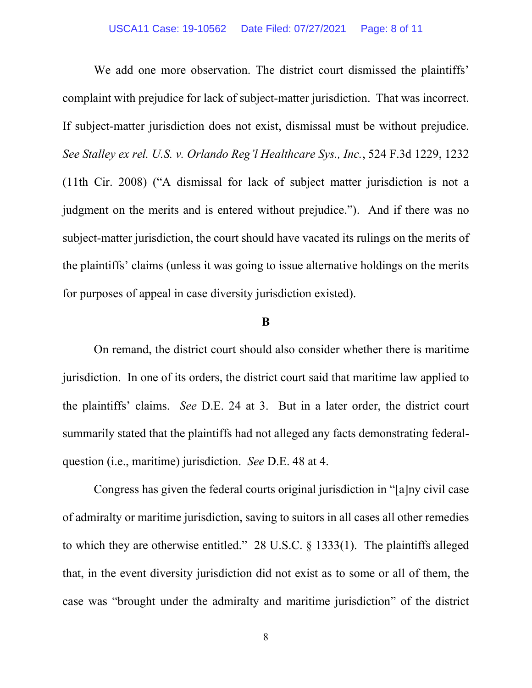We add one more observation. The district court dismissed the plaintiffs' complaint with prejudice for lack of subject-matter jurisdiction. That was incorrect. If subject-matter jurisdiction does not exist, dismissal must be without prejudice. *See Stalley ex rel. U.S. v. Orlando Reg'l Healthcare Sys., Inc.*, 524 F.3d 1229, 1232 (11th Cir. 2008) ("A dismissal for lack of subject matter jurisdiction is not a judgment on the merits and is entered without prejudice."). And if there was no subject-matter jurisdiction, the court should have vacated its rulings on the merits of the plaintiffs' claims (unless it was going to issue alternative holdings on the merits for purposes of appeal in case diversity jurisdiction existed).

### **B**

On remand, the district court should also consider whether there is maritime jurisdiction. In one of its orders, the district court said that maritime law applied to the plaintiffs' claims. *See* D.E. 24 at 3. But in a later order, the district court summarily stated that the plaintiffs had not alleged any facts demonstrating federalquestion (i.e., maritime) jurisdiction. *See* D.E. 48 at 4.

Congress has given the federal courts original jurisdiction in "[a]ny civil case of admiralty or maritime jurisdiction, saving to suitors in all cases all other remedies to which they are otherwise entitled." 28 U.S.C. § 1333(1). The plaintiffs alleged that, in the event diversity jurisdiction did not exist as to some or all of them, the case was "brought under the admiralty and maritime jurisdiction" of the district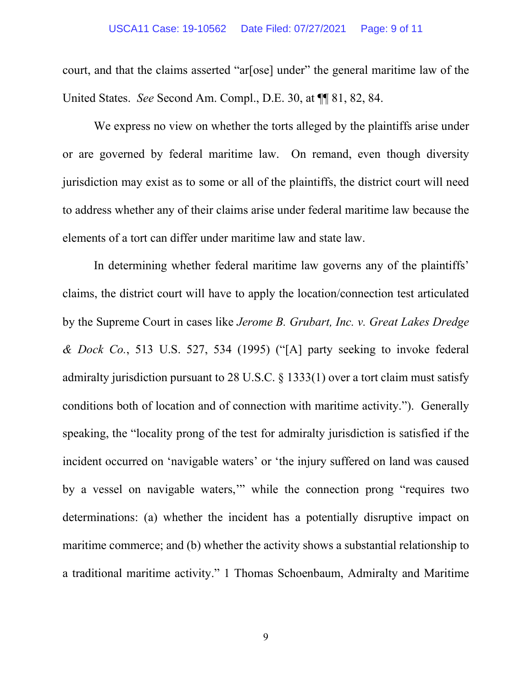#### USCA11 Case: 19-10562 Date Filed: 07/27/2021 Page: 9 of 11

court, and that the claims asserted "ar[ose] under" the general maritime law of the United States. *See* Second Am. Compl., D.E. 30, at ¶¶ 81, 82, 84.

We express no view on whether the torts alleged by the plaintiffs arise under or are governed by federal maritime law. On remand, even though diversity jurisdiction may exist as to some or all of the plaintiffs, the district court will need to address whether any of their claims arise under federal maritime law because the elements of a tort can differ under maritime law and state law.

In determining whether federal maritime law governs any of the plaintiffs' claims, the district court will have to apply the location/connection test articulated by the Supreme Court in cases like *Jerome B. Grubart, Inc. v. Great Lakes Dredge & Dock Co.*, 513 U.S. 527, 534 (1995) ("[A] party seeking to invoke federal admiralty jurisdiction pursuant to 28 U.S.C. § 1333(1) over a tort claim must satisfy conditions both of location and of connection with maritime activity."). Generally speaking, the "locality prong of the test for admiralty jurisdiction is satisfied if the incident occurred on 'navigable waters' or 'the injury suffered on land was caused by a vessel on navigable waters,'" while the connection prong "requires two determinations: (a) whether the incident has a potentially disruptive impact on maritime commerce; and (b) whether the activity shows a substantial relationship to a traditional maritime activity." 1 Thomas Schoenbaum, Admiralty and Maritime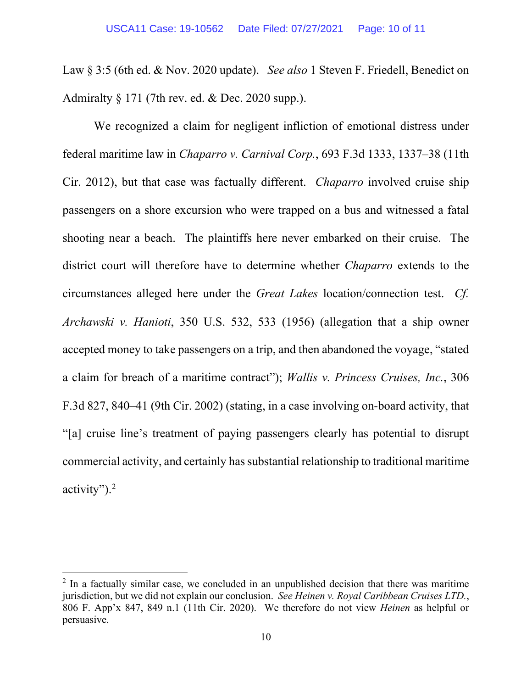Law § 3:5 (6th ed. & Nov. 2020 update). *See also* 1 Steven F. Friedell, Benedict on Admiralty  $\S 171$  (7th rev. ed. & Dec. 2020 supp.).

We recognized a claim for negligent infliction of emotional distress under federal maritime law in *Chaparro v. Carnival Corp.*, 693 F.3d 1333, 1337–38 (11th Cir. 2012), but that case was factually different. *Chaparro* involved cruise ship passengers on a shore excursion who were trapped on a bus and witnessed a fatal shooting near a beach. The plaintiffs here never embarked on their cruise. The district court will therefore have to determine whether *Chaparro* extends to the circumstances alleged here under the *Great Lakes* location/connection test. *Cf. Archawski v. Hanioti*, 350 U.S. 532, 533 (1956) (allegation that a ship owner accepted money to take passengers on a trip, and then abandoned the voyage, "stated a claim for breach of a maritime contract"); *Wallis v. Princess Cruises, Inc.*, 306 F.3d 827, 840–41 (9th Cir. 2002) (stating, in a case involving on-board activity, that "[a] cruise line's treatment of paying passengers clearly has potential to disrupt commercial activity, and certainly has substantial relationship to traditional maritime activity"). $2$ 

<span id="page-9-0"></span> $2 \text{ In a faculty similar case, we concluded in an unpublished decision that there was maritime.}$ jurisdiction, but we did not explain our conclusion. *See Heinen v. Royal Caribbean Cruises LTD.*, 806 F. App'x 847, 849 n.1 (11th Cir. 2020). We therefore do not view *Heinen* as helpful or persuasive.